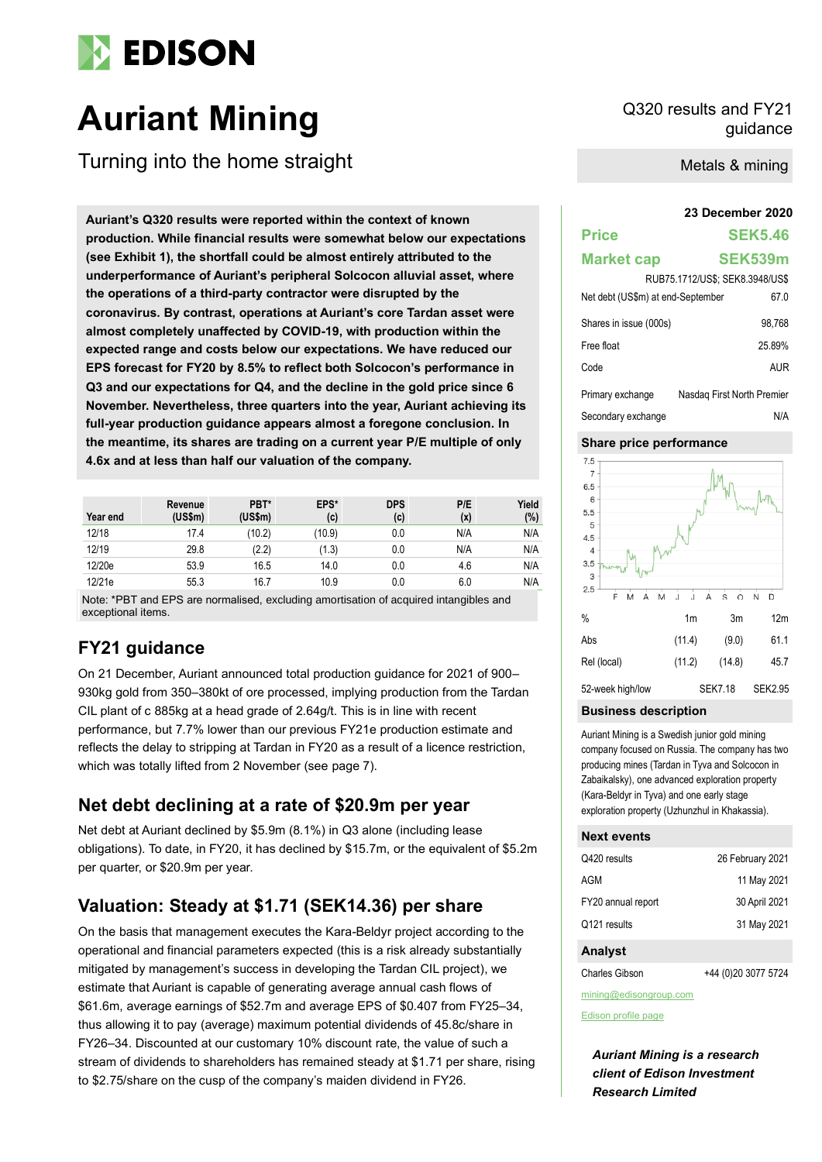

# **Auriant Mining** Q320 results and FY21

Turning into the home straight

**23 December 2020 Auriant's Q320 results were reported within the context of known production. While financial results were somewhat below our expectations (see Exhibit 1), the shortfall could be almost entirely attributed to the underperformance of Auriant's peripheral Solcocon alluvial asset, where the operations of a third-party contractor were disrupted by the coronavirus. By contrast, operations at Auriant's core Tardan asset were almost completely unaffected by COVID-19, with production within the expected range and costs below our expectations. We have reduced our EPS forecast for FY20 by 8.5% to reflect both Solcocon's performance in Q3 and our expectations for Q4, and the decline in the gold price since 6 November. Nevertheless, three quarters into the year, Auriant achieving its full-year production guidance appears almost a foregone conclusion. In the meantime, its shares are trading on a current year P/E multiple of only 4.6x and at less than half our valuation of the company.**

| Year end | Revenue<br>(US\$m) | PBT*<br>(US\$m) | EPS*<br>(c) | <b>DPS</b><br>(c) | P/E<br>(x) | Yield<br>(%) |
|----------|--------------------|-----------------|-------------|-------------------|------------|--------------|
| 12/18    | 17.4               | (10.2)          | (10.9)      | 0.0               | N/A        | N/A          |
| 12/19    | 29.8               | (2.2)           | (1.3)       | 0.0               | N/A        | N/A          |
| 12/20e   | 53.9               | 16.5            | 14.0        | 0.0               | 4.6        | N/A          |
| 12/21e   | 55.3               | 16.7            | 10.9        | 0.0               | 6.0        | N/A          |

Note: \*PBT and EPS are normalised, excluding amortisation of acquired intangibles and exceptional items.

# **FY21 guidance**

On 21 December, Auriant announced total production guidance for 2021 of 900– 930kg gold from 350–380kt of ore processed, implying production from the Tardan CIL plant of c 885kg at a head grade of 2.64g/t. This is in line with recent performance, but 7.7% lower than our previous FY21e production estimate and reflects the delay to stripping at Tardan in FY20 as a result of a licence restriction, which was totally lifted from 2 November (see page 7).

# **Net debt declining at a rate of \$20.9m per year**

Net debt at Auriant declined by \$5.9m (8.1%) in Q3 alone (including lease obligations). To date, in FY20, it has declined by \$15.7m, or the equivalent of \$5.2m per quarter, or \$20.9m per year.

# **Valuation: Steady at \$1.71 (SEK14.36) per share**

On the basis that management executes the Kara-Beldyr project according to the operational and financial parameters expected (this is a risk already substantially mitigated by management's success in developing the Tardan CIL project), we estimate that Auriant is capable of generating average annual cash flows of \$61.6m, average earnings of \$52.7m and average EPS of \$0.407 from FY25–34, thus allowing it to pay (average) maximum potential dividends of 45.8c/share in FY26–34. Discounted at our customary 10% discount rate, the value of such a stream of dividends to shareholders has remained steady at \$1.71 per share, rising to \$2.75/share on the cusp of the company's maiden dividend in FY26.

guidance

Metals & mining

# **Price SEK5.46**

#### **Market cap SEK539m**

| RUB75.1712/US\$: SEK8.3948/US\$   |                            |  |  |  |  |  |
|-----------------------------------|----------------------------|--|--|--|--|--|
| Net debt (US\$m) at end-September | 67.0                       |  |  |  |  |  |
| Shares in issue (000s)            | 98.768                     |  |  |  |  |  |
| Free float                        | 25.89%                     |  |  |  |  |  |
| Code                              | <b>AUR</b>                 |  |  |  |  |  |
| Primary exchange                  | Nasdag First North Premier |  |  |  |  |  |
| Secondary exchange                | N/A                        |  |  |  |  |  |

#### **Share price performance**



#### **Business description**

Auriant Mining is a Swedish junior gold mining company focused on Russia. The company has two producing mines (Tardan in Tyva and Solcocon in Zabaikalsky), one advanced exploration property (Kara-Beldyr in Tyva) and one early stage exploration property (Uzhunzhul in Khakassia).

#### **Next events**

| Q420 results       | 26 February 2021 |
|--------------------|------------------|
| AGM                | 11 May 2021      |
| FY20 annual report | 30 April 2021    |
| Q121 results       | 31 May 2021      |
|                    |                  |

#### **Analyst**

Charles Gibson +44 (0)20 3077 5724

mining@edisongroup.com

[Edison profile page](https://www.edisongroup.com/company/auriant-mining/2730/)

*Auriant Mining is a research client of Edison Investment Research Limited*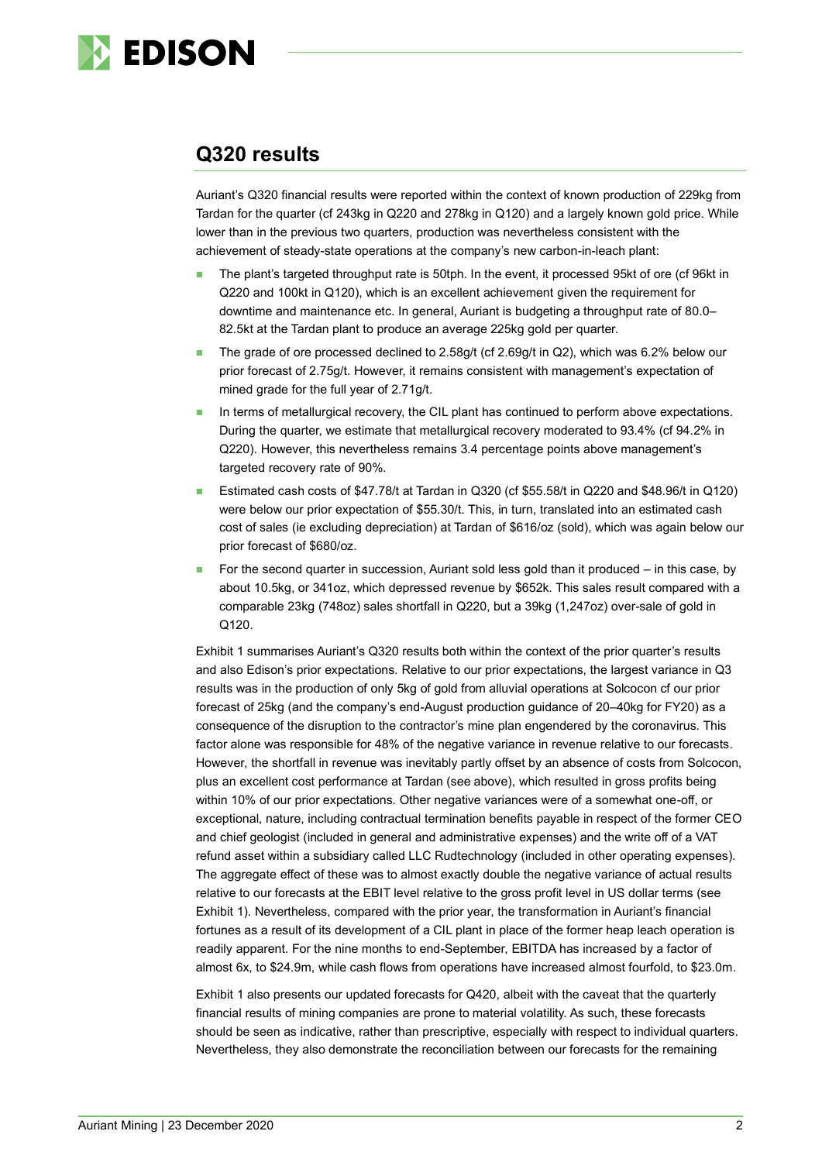

# **Q320 results**

Auriant's Q320 financial results were reported within the context of known production of 229kg from Tardan for the quarter (cf 243kg in Q220 and 278kg in Q120) and a largely known gold price. While lower than in the previous two quarters, production was nevertheless consistent with the achievement of steady-state operations at the company's new carbon-in-leach plant:

- The plant's targeted throughput rate is 50tph. In the event, it processed 95kt of ore (cf 96kt in Q220 and 100kt in Q120), which is an excellent achievement given the requirement for downtime and maintenance etc. In general, Auriant is budgeting a throughput rate of 80.0– 82.5kt at the Tardan plant to produce an average 225kg gold per quarter.
- The grade of ore processed declined to 2.58g/t (cf 2.69g/t in Q2), which was 6.2% below our prior forecast of 2.75g/t. However, it remains consistent with management's expectation of mined grade for the full year of 2.71g/t.
- In terms of metallurgical recovery, the CIL plant has continued to perform above expectations. During the quarter, we estimate that metallurgical recovery moderated to 93.4% (cf 94.2% in Q220). However, this nevertheless remains 3.4 percentage points above management's targeted recovery rate of 90%.
- ◼ Estimated cash costs of \$47.78/t at Tardan in Q320 (cf \$55.58/t in Q220 and \$48.96/t in Q120) were below our prior expectation of \$55.30/t. This, in turn, translated into an estimated cash cost of sales (ie excluding depreciation) at Tardan of \$616/oz (sold), which was again below our prior forecast of \$680/oz.
- For the second quarter in succession, Auriant sold less gold than it produced in this case, by about 10.5kg, or 341oz, which depressed revenue by \$652k. This sales result compared with a comparable 23kg (748oz) sales shortfall in Q220, but a 39kg (1,247oz) over-sale of gold in Q120.

Exhibit 1 summarises Auriant's Q320 results both within the context of the prior quarter's results and also Edison's prior expectations. Relative to our prior expectations, the largest variance in Q3 results was in the production of only 5kg of gold from alluvial operations at Solcocon cf our prior forecast of 25kg (and the company's end-August production guidance of 20–40kg for FY20) as a consequence of the disruption to the contractor's mine plan engendered by the coronavirus. This factor alone was responsible for 48% of the negative variance in revenue relative to our forecasts. However, the shortfall in revenue was inevitably partly offset by an absence of costs from Solcocon, plus an excellent cost performance at Tardan (see above), which resulted in gross profits being within 10% of our prior expectations. Other negative variances were of a somewhat one-off, or exceptional, nature, including contractual termination benefits payable in respect of the former CEO and chief geologist (included in general and administrative expenses) and the write off of a VAT refund asset within a subsidiary called LLC Rudtechnology (included in other operating expenses). The aggregate effect of these was to almost exactly double the negative variance of actual results relative to our forecasts at the EBIT level relative to the gross profit level in US dollar terms (see Exhibit 1). Nevertheless, compared with the prior year, the transformation in Auriant's financial fortunes as a result of its development of a CIL plant in place of the former heap leach operation is readily apparent. For the nine months to end-September, EBITDA has increased by a factor of almost 6x, to \$24.9m, while cash flows from operations have increased almost fourfold, to \$23.0m.

Exhibit 1 also presents our updated forecasts for Q420, albeit with the caveat that the quarterly financial results of mining companies are prone to material volatility. As such, these forecasts should be seen as indicative, rather than prescriptive, especially with respect to individual quarters. Nevertheless, they also demonstrate the reconciliation between our forecasts for the remaining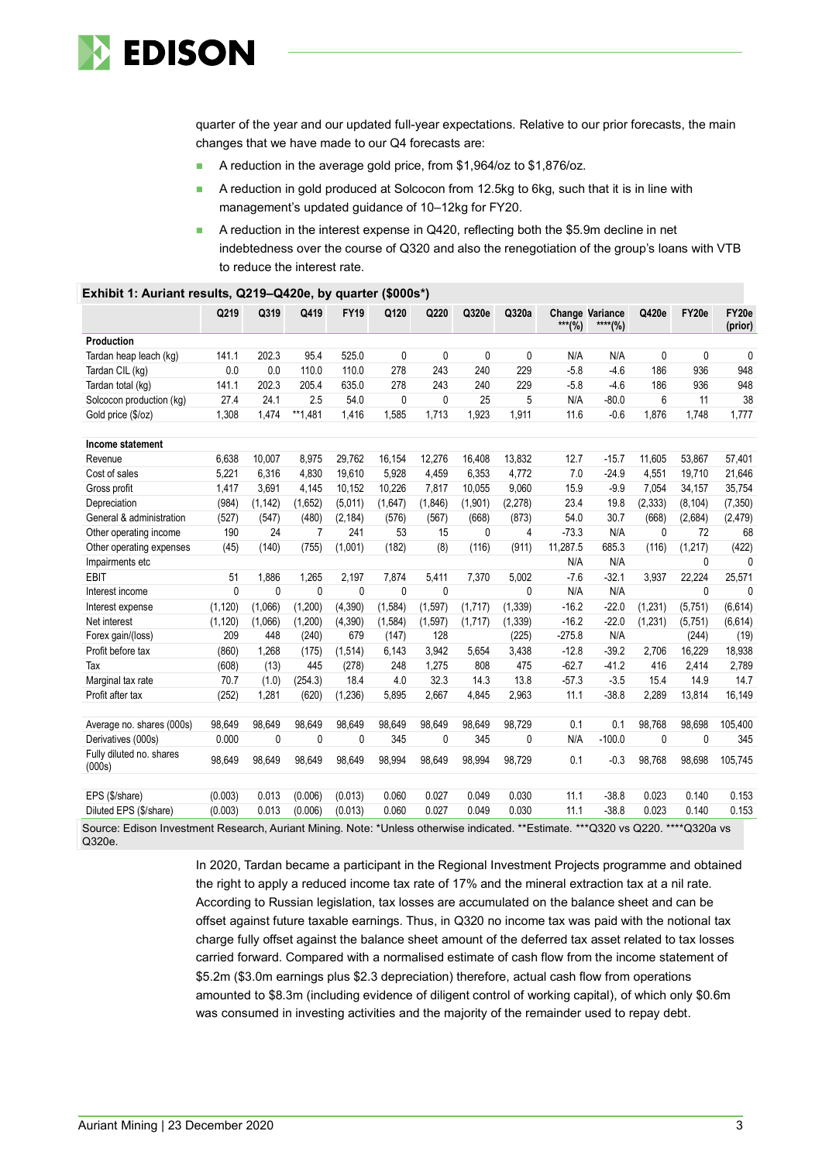

quarter of the year and our updated full-year expectations. Relative to our prior forecasts, the main changes that we have made to our Q4 forecasts are:

- A reduction in the average gold price, from \$1,964/oz to \$1,876/oz.
- A reduction in gold produced at Solcocon from 12.5kg to 6kg, such that it is in line with management's updated guidance of 10–12kg for FY20.
- A reduction in the interest expense in Q420, reflecting both the \$5.9m decline in net indebtedness over the course of Q320 and also the renegotiation of the group's loans with VTB to reduce the interest rate.

|                                                                                                                               | Q219     | Q319     | Q419         | <b>FY19</b> | Q120         | Q220         | Q320e   | Q320a        |          | <b>Change Variance</b> | Q420e        | FY20e    | FY20e        |
|-------------------------------------------------------------------------------------------------------------------------------|----------|----------|--------------|-------------|--------------|--------------|---------|--------------|----------|------------------------|--------------|----------|--------------|
|                                                                                                                               |          |          |              |             |              |              |         |              | $***(%)$ | ****(%)                |              |          | (prior)      |
| Production                                                                                                                    |          |          |              |             |              |              |         |              |          |                        |              |          |              |
| Tardan heap leach (kg)                                                                                                        | 141.1    | 202.3    | 95.4         | 525.0       | 0            | 0            | 0       | $\mathbf{0}$ | N/A      | N/A                    | 0            | 0        | $\mathbf{0}$ |
| Tardan CIL (kg)                                                                                                               | 0.0      | 0.0      | 110.0        | 110.0       | 278          | 243          | 240     | 229          | $-5.8$   | $-4.6$                 | 186          | 936      | 948          |
| Tardan total (kg)                                                                                                             | 141.1    | 202.3    | 205.4        | 635.0       | 278          | 243          | 240     | 229          | $-5.8$   | $-4.6$                 | 186          | 936      | 948          |
| Solcocon production (kg)                                                                                                      | 27.4     | 24.1     | 2.5          | 54.0        | $\mathbf{0}$ | 0            | 25      | 5            | N/A      | $-80.0$                | 6            | 11       | 38           |
| Gold price (\$/oz)                                                                                                            | 1,308    | 1,474    | **1,481      | 1,416       | 1,585        | 1,713        | 1,923   | 1,911        | 11.6     | $-0.6$                 | 1,876        | 1,748    | 1,777        |
| Income statement                                                                                                              |          |          |              |             |              |              |         |              |          |                        |              |          |              |
| Revenue                                                                                                                       | 6,638    | 10.007   | 8,975        | 29,762      | 16,154       | 12,276       | 16.408  | 13,832       | 12.7     | $-15.7$                | 11,605       | 53.867   | 57,401       |
| Cost of sales                                                                                                                 | 5.221    | 6.316    | 4.830        | 19.610      | 5.928        | 4,459        | 6.353   | 4,772        | 7.0      | $-24.9$                | 4.551        | 19.710   | 21,646       |
| Gross profit                                                                                                                  | 1,417    | 3,691    | 4,145        | 10,152      | 10,226       | 7,817        | 10,055  | 9,060        | 15.9     | $-9.9$                 | 7,054        | 34,157   | 35,754       |
| Depreciation                                                                                                                  | (984)    | (1, 142) | (1,652)      | (5,011)     | (1,647)      | (1,846)      | (1,901) | (2, 278)     | 23.4     | 19.8                   | (2, 333)     | (8, 104) | (7, 350)     |
| General & administration                                                                                                      | (527)    | (547)    | (480)        | (2, 184)    | (576)        | (567)        | (668)   | (873)        | 54.0     | 30.7                   | (668)        | (2,684)  | (2, 479)     |
| Other operating income                                                                                                        | 190      | 24       | 7            | 241         | 53           | 15           | 0       | 4            | $-73.3$  | N/A                    | 0            | 72       | 68           |
| Other operating expenses                                                                                                      | (45)     | (140)    | (755)        | (1,001)     | (182)        | (8)          | (116)   | (911)        | 11,287.5 | 685.3                  | (116)        | (1, 217) | (422)        |
| Impairments etc                                                                                                               |          |          |              |             |              |              |         |              | N/A      | N/A                    |              | 0        | $\Omega$     |
| <b>EBIT</b>                                                                                                                   | 51       | 1,886    | 1,265        | 2,197       | 7,874        | 5,411        | 7,370   | 5,002        | $-7.6$   | $-32.1$                | 3,937        | 22,224   | 25,571       |
| Interest income                                                                                                               | 0        | $\theta$ | $\mathbf{0}$ | $\Omega$    | $\Omega$     | $\mathbf{0}$ |         | $\Omega$     | N/A      | N/A                    |              | $\Omega$ | $\Omega$     |
| Interest expense                                                                                                              | (1, 120) | (1,066)  | (1,200)      | (4,390)     | (1, 584)     | (1,597)      | (1,717) | (1, 339)     | $-16.2$  | $-22.0$                | (1,231)      | (5,751)  | (6, 614)     |
| Net interest                                                                                                                  | (1, 120) | (1,066)  | (1,200)      | (4,390)     | (1, 584)     | (1,597)      | (1,717) | (1, 339)     | $-16.2$  | $-22.0$                | (1,231)      | (5,751)  | (6,614)      |
| Forex gain/(loss)                                                                                                             | 209      | 448      | (240)        | 679         | (147)        | 128          |         | (225)        | $-275.8$ | N/A                    |              | (244)    | (19)         |
| Profit before tax                                                                                                             | (860)    | 1.268    | (175)        | (1,514)     | 6,143        | 3.942        | 5.654   | 3,438        | $-12.8$  | $-39.2$                | 2.706        | 16.229   | 18,938       |
| Tax                                                                                                                           | (608)    | (13)     | 445          | (278)       | 248          | 1,275        | 808     | 475          | $-62.7$  | $-41.2$                | 416          | 2,414    | 2,789        |
| Marginal tax rate                                                                                                             | 70.7     | (1.0)    | (254.3)      | 18.4        | 4.0          | 32.3         | 14.3    | 13.8         | $-57.3$  | $-3.5$                 | 15.4         | 14.9     | 14.7         |
| Profit after tax                                                                                                              | (252)    | 1,281    | (620)        | (1, 236)    | 5,895        | 2,667        | 4,845   | 2,963        | 11.1     | $-38.8$                | 2,289        | 13,814   | 16,149       |
| Average no. shares (000s)                                                                                                     | 98,649   | 98.649   | 98.649       | 98.649      | 98.649       | 98,649       | 98.649  | 98,729       | 0.1      | 0.1                    | 98.768       | 98,698   | 105,400      |
| Derivatives (000s)                                                                                                            | 0.000    | 0        | 0            | 0           | 345          | 0            | 345     | 0            | N/A      | $-100.0$               | $\mathbf{0}$ | 0        | 345          |
| Fully diluted no. shares<br>(000s)                                                                                            | 98,649   | 98,649   | 98,649       | 98,649      | 98,994       | 98,649       | 98,994  | 98,729       | 0.1      | $-0.3$                 | 98,768       | 98,698   | 105,745      |
| EPS (\$/share)                                                                                                                | (0.003)  | 0.013    | (0.006)      | (0.013)     | 0.060        | 0.027        | 0.049   | 0.030        | 11.1     | $-38.8$                | 0.023        | 0.140    | 0.153        |
| Diluted EPS (\$/share)                                                                                                        | (0.003)  | 0.013    | (0.006)      | (0.013)     | 0.060        | 0.027        | 0.049   | 0.030        | 11.1     | $-38.8$                | 0.023        | 0.140    | 0.153        |
| Source: Edison Investment Research, Auriant Mining, Note: *Unless otherwise indicated **Estimate ***0320 vs 0220 ****0320a vs |          |          |              |             |              |              |         |              |          |                        |              |          |              |

#### **Exhibit 1: Auriant results, Q219–Q420e, by quarter (\$000s\*)**

Source: Edison Investment Research, Auriant Mining. Note: \*Unless otherwise indicated. \*\*Estimate. \*\*\*Q320 vs Q220. \*\*\*\*Q320a vs Q320e.

> In 2020, Tardan became a participant in the Regional Investment Projects programme and obtained the right to apply a reduced income tax rate of 17% and the mineral extraction tax at a nil rate. According to Russian legislation, tax losses are accumulated on the balance sheet and can be offset against future taxable earnings. Thus, in Q320 no income tax was paid with the notional tax charge fully offset against the balance sheet amount of the deferred tax asset related to tax losses carried forward. Compared with a normalised estimate of cash flow from the income statement of \$5.2m (\$3.0m earnings plus \$2.3 depreciation) therefore, actual cash flow from operations amounted to \$8.3m (including evidence of diligent control of working capital), of which only \$0.6m was consumed in investing activities and the majority of the remainder used to repay debt.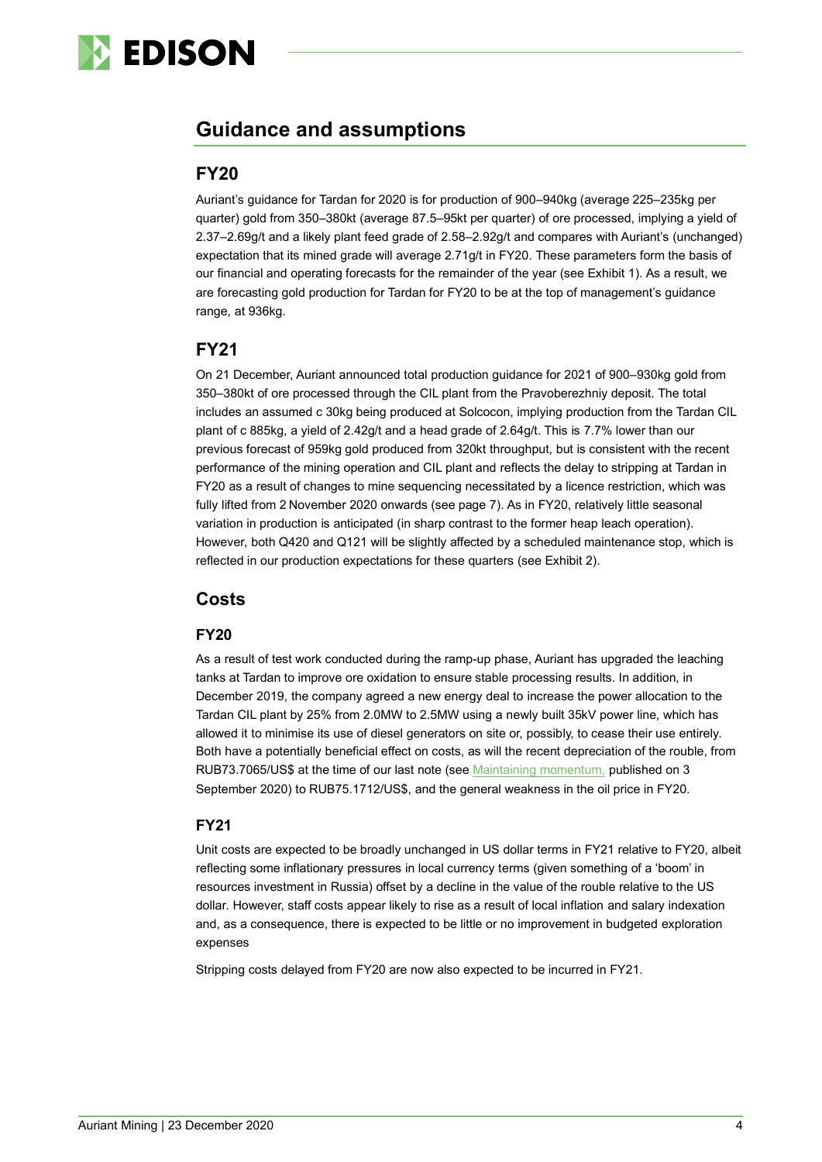

# **Guidance and assumptions**

#### **FY20**

Auriant's guidance for Tardan for 2020 is for production of 900–940kg (average 225–235kg per quarter) gold from 350–380kt (average 87.5–95kt per quarter) of ore processed, implying a yield of 2.37–2.69g/t and a likely plant feed grade of 2.58–2.92g/t and compares with Auriant's (unchanged) expectation that its mined grade will average 2.71g/t in FY20. These parameters form the basis of our financial and operating forecasts for the remainder of the year (see Exhibit 1). As a result, we are forecasting gold production for Tardan for FY20 to be at the top of management's guidance range, at 936kg.

# **FY21**

On 21 December, Auriant announced total production guidance for 2021 of 900–930kg gold from 350–380kt of ore processed through the CIL plant from the Pravoberezhniy deposit. The total includes an assumed c 30kg being produced at Solcocon, implying production from the Tardan CIL plant of c 885kg, a yield of 2.42g/t and a head grade of 2.64g/t. This is 7.7% lower than our previous forecast of 959kg gold produced from 320kt throughput, but is consistent with the recent performance of the mining operation and CIL plant and reflects the delay to stripping at Tardan in FY20 as a result of changes to mine sequencing necessitated by a licence restriction, which was fully lifted from 2 November 2020 onwards (see page 7). As in FY20, relatively little seasonal variation in production is anticipated (in sharp contrast to the former heap leach operation). However, both Q420 and Q121 will be slightly affected by a scheduled maintenance stop, which is reflected in our production expectations for these quarters (see Exhibit 2).

### **Costs**

#### **FY20**

As a result of test work conducted during the ramp-up phase, Auriant has upgraded the leaching tanks at Tardan to improve ore oxidation to ensure stable processing results. In addition, in December 2019, the company agreed a new energy deal to increase the power allocation to the Tardan CIL plant by 25% from 2.0MW to 2.5MW using a newly built 35kV power line, which has allowed it to minimise its use of diesel generators on site or, possibly, to cease their use entirely. Both have a potentially beneficial effect on costs, as will the recent depreciation of the rouble, from RUB73.7065/US\$ at the time of our last note (see [Maintaining momentum,](https://www.edisongroup.com/publication/emerging-into-broad-sunlit-uplands/26967/) published on 3 September 2020) to RUB75.1712/US\$, and the general weakness in the oil price in FY20.

#### **FY21**

Unit costs are expected to be broadly unchanged in US dollar terms in FY21 relative to FY20, albeit reflecting some inflationary pressures in local currency terms (given something of a 'boom' in resources investment in Russia) offset by a decline in the value of the rouble relative to the US dollar. However, staff costs appear likely to rise as a result of local inflation and salary indexation and, as a consequence, there is expected to be little or no improvement in budgeted exploration expenses

Stripping costs delayed from FY20 are now also expected to be incurred in FY21.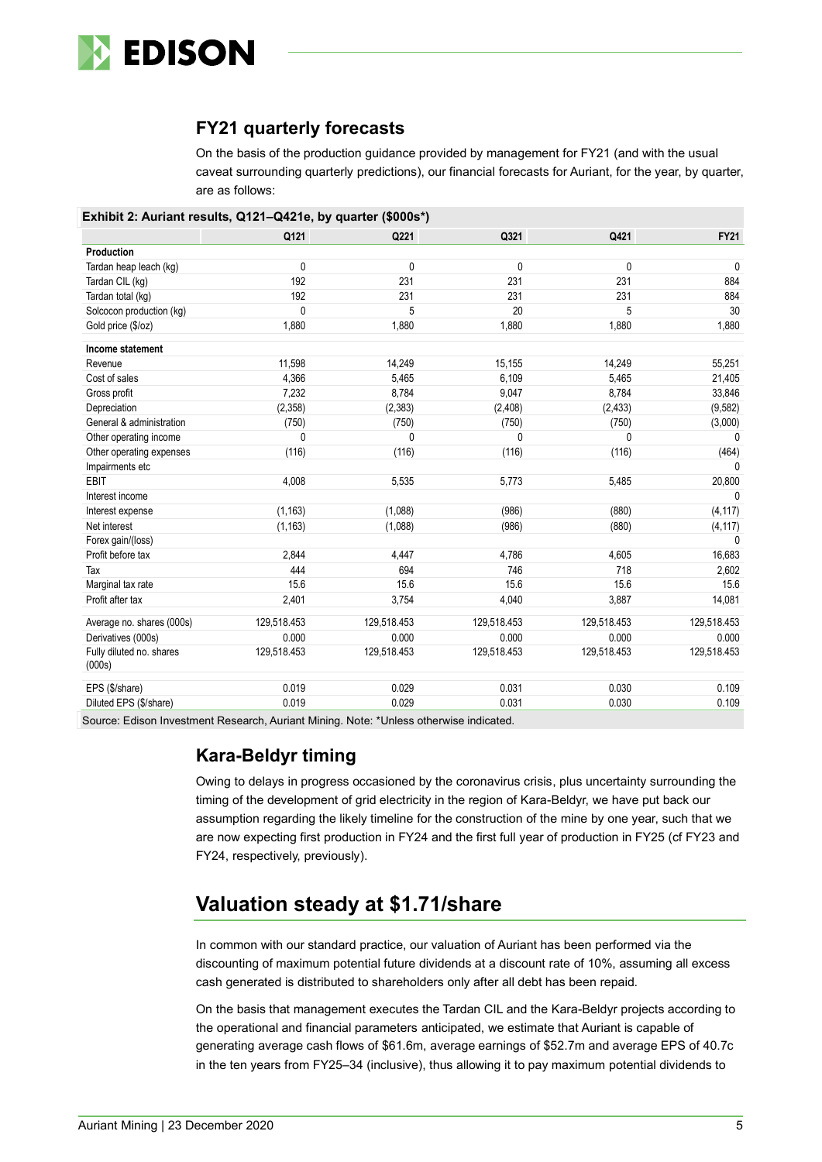

## **FY21 quarterly forecasts**

On the basis of the production guidance provided by management for FY21 (and with the usual caveat surrounding quarterly predictions), our financial forecasts for Auriant, for the year, by quarter, are as follows:

|  | Exhibit 2: Auriant results, Q121-Q421e, by quarter (\$000s*) |  |  |  |  |
|--|--------------------------------------------------------------|--|--|--|--|
|--|--------------------------------------------------------------|--|--|--|--|

|                                    | Q121         | Q221        | Q321        | Q421        | <b>FY21</b>  |
|------------------------------------|--------------|-------------|-------------|-------------|--------------|
| Production                         |              |             |             |             |              |
| Tardan heap leach (kg)             | 0            | 0           | 0           | 0           | $\mathbf{0}$ |
| Tardan CIL (kg)                    | 192          | 231         | 231         | 231         | 884          |
| Tardan total (kg)                  | 192          | 231         | 231         | 231         | 884          |
| Solcocon production (kg)           | $\mathbf{0}$ | 5           | 20          | 5           | 30           |
| Gold price (\$/oz)                 | 1,880        | 1,880       | 1,880       | 1,880       | 1,880        |
| Income statement                   |              |             |             |             |              |
| Revenue                            | 11,598       | 14,249      | 15,155      | 14,249      | 55,251       |
| Cost of sales                      | 4,366        | 5,465       | 6,109       | 5,465       | 21,405       |
| Gross profit                       | 7,232        | 8,784       | 9,047       | 8,784       | 33,846       |
| Depreciation                       | (2,358)      | (2,383)     | (2,408)     | (2, 433)    | (9,582)      |
| General & administration           | (750)        | (750)       | (750)       | (750)       | (3,000)      |
| Other operating income             | 0            | 0           | 0           | 0           | $\Omega$     |
| Other operating expenses           | (116)        | (116)       | (116)       | (116)       | (464)        |
| Impairments etc                    |              |             |             |             | <sup>n</sup> |
| <b>EBIT</b>                        | 4,008        | 5,535       | 5,773       | 5,485       | 20,800       |
| Interest income                    |              |             |             |             | $\Omega$     |
| Interest expense                   | (1, 163)     | (1,088)     | (986)       | (880)       | (4, 117)     |
| Net interest                       | (1, 163)     | (1,088)     | (986)       | (880)       | (4, 117)     |
| Forex gain/(loss)                  |              |             |             |             | $\mathbf{0}$ |
| Profit before tax                  | 2,844        | 4,447       | 4,786       | 4,605       | 16,683       |
| Tax                                | 444          | 694         | 746         | 718         | 2,602        |
| Marginal tax rate                  | 15.6         | 15.6        | 15.6        | 15.6        | 15.6         |
| Profit after tax                   | 2,401        | 3,754       | 4,040       | 3,887       | 14,081       |
| Average no. shares (000s)          | 129,518.453  | 129,518.453 | 129,518.453 | 129,518.453 | 129,518.453  |
| Derivatives (000s)                 | 0.000        | 0.000       | 0.000       | 0.000       | 0.000        |
| Fully diluted no. shares<br>(000s) | 129,518.453  | 129,518.453 | 129,518.453 | 129,518.453 | 129,518.453  |
| EPS (\$/share)                     | 0.019        | 0.029       | 0.031       | 0.030       | 0.109        |
| Diluted EPS (\$/share)             | 0.019        | 0.029       | 0.031       | 0.030       | 0.109        |

Source: Edison Investment Research, Auriant Mining. Note: \*Unless otherwise indicated.

#### **Kara-Beldyr timing**

Owing to delays in progress occasioned by the coronavirus crisis, plus uncertainty surrounding the timing of the development of grid electricity in the region of Kara-Beldyr, we have put back our assumption regarding the likely timeline for the construction of the mine by one year, such that we are now expecting first production in FY24 and the first full year of production in FY25 (cf FY23 and FY24, respectively, previously).

# **Valuation steady at \$1.71/share**

In common with our standard practice, our valuation of Auriant has been performed via the discounting of maximum potential future dividends at a discount rate of 10%, assuming all excess cash generated is distributed to shareholders only after all debt has been repaid.

On the basis that management executes the Tardan CIL and the Kara-Beldyr projects according to the operational and financial parameters anticipated, we estimate that Auriant is capable of generating average cash flows of \$61.6m, average earnings of \$52.7m and average EPS of 40.7c in the ten years from FY25–34 (inclusive), thus allowing it to pay maximum potential dividends to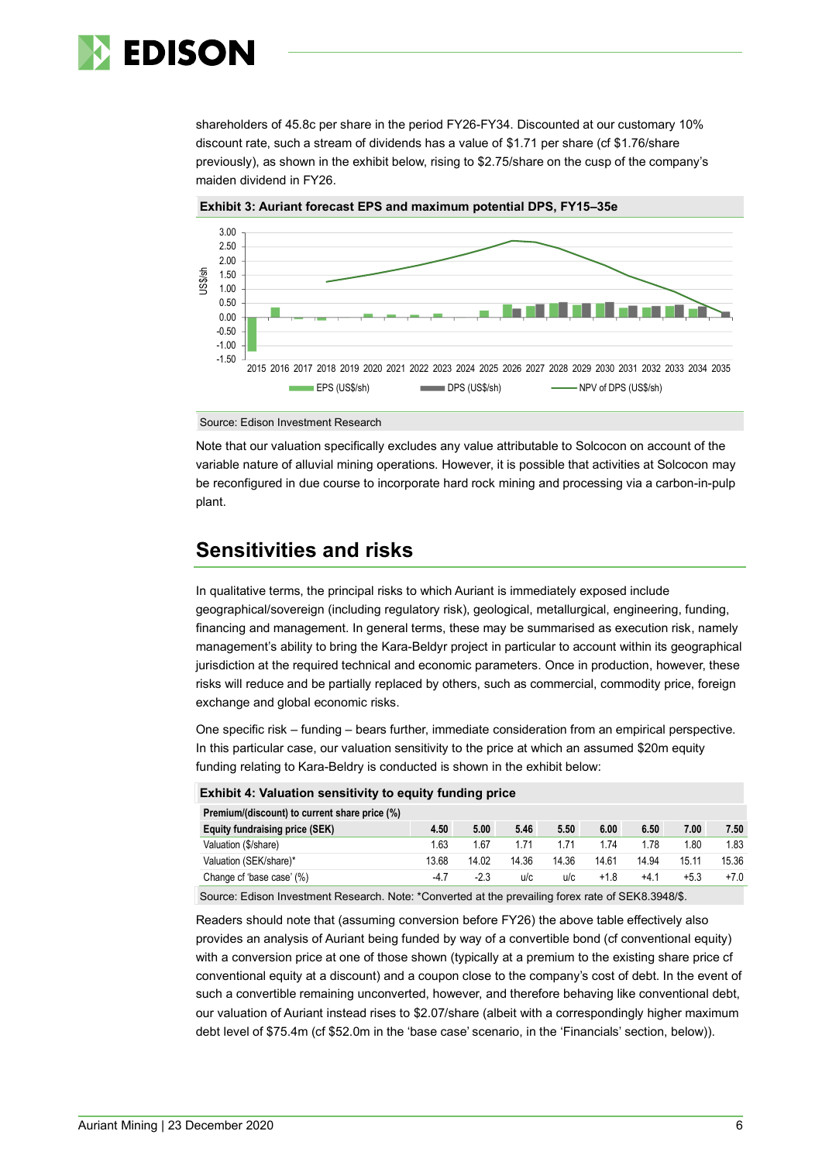

shareholders of 45.8c per share in the period FY26-FY34. Discounted at our customary 10% discount rate, such a stream of dividends has a value of \$1.71 per share (cf \$1.76/share previously), as shown in the exhibit below, rising to \$2.75/share on the cusp of the company's maiden dividend in FY26.



**Exhibit 3: Auriant forecast EPS and maximum potential DPS, FY15–35e**

Source: Edison Investment Research

Note that our valuation specifically excludes any value attributable to Solcocon on account of the variable nature of alluvial mining operations. However, it is possible that activities at Solcocon may be reconfigured in due course to incorporate hard rock mining and processing via a carbon-in-pulp plant.

# **Sensitivities and risks**

In qualitative terms, the principal risks to which Auriant is immediately exposed include geographical/sovereign (including regulatory risk), geological, metallurgical, engineering, funding, financing and management. In general terms, these may be summarised as execution risk, namely management's ability to bring the Kara-Beldyr project in particular to account within its geographical jurisdiction at the required technical and economic parameters. Once in production, however, these risks will reduce and be partially replaced by others, such as commercial, commodity price, foreign exchange and global economic risks.

One specific risk – funding – bears further, immediate consideration from an empirical perspective. In this particular case, our valuation sensitivity to the price at which an assumed \$20m equity funding relating to Kara-Beldry is conducted is shown in the exhibit below:

| <b>Exhibit 4: Valuation sensitivity to equity funding price</b> |       |       |       |        |        |        |       |  |  |  |
|-----------------------------------------------------------------|-------|-------|-------|--------|--------|--------|-------|--|--|--|
| Premium/(discount) to current share price (%)                   |       |       |       |        |        |        |       |  |  |  |
| 4.50                                                            | 5.00  | 5.46  | 5.50  | 6.00   | 6.50   | 7.00   | 7.50  |  |  |  |
| 1.63                                                            | 1.67  | 1.71  | 1.71  | 1.74   | 1.78   | 1.80   | 1.83  |  |  |  |
| 13.68                                                           | 14.02 | 14.36 | 14.36 | 14.61  | 14.94  | 15.11  | 15.36 |  |  |  |
| $-4.7$                                                          | -2.3  | u/c   | u/c   | $+1.8$ | $+4.1$ | $+5.3$ | $+70$ |  |  |  |
|                                                                 |       |       |       |        |        |        |       |  |  |  |

Source: Edison Investment Research. Note: \*Converted at the prevailing forex rate of SEK8.3948/\$.

Readers should note that (assuming conversion before FY26) the above table effectively also provides an analysis of Auriant being funded by way of a convertible bond (cf conventional equity) with a conversion price at one of those shown (typically at a premium to the existing share price cf conventional equity at a discount) and a coupon close to the company's cost of debt. In the event of such a convertible remaining unconverted, however, and therefore behaving like conventional debt, our valuation of Auriant instead rises to \$2.07/share (albeit with a correspondingly higher maximum debt level of \$75.4m (cf \$52.0m in the 'base case' scenario, in the 'Financials' section, below)).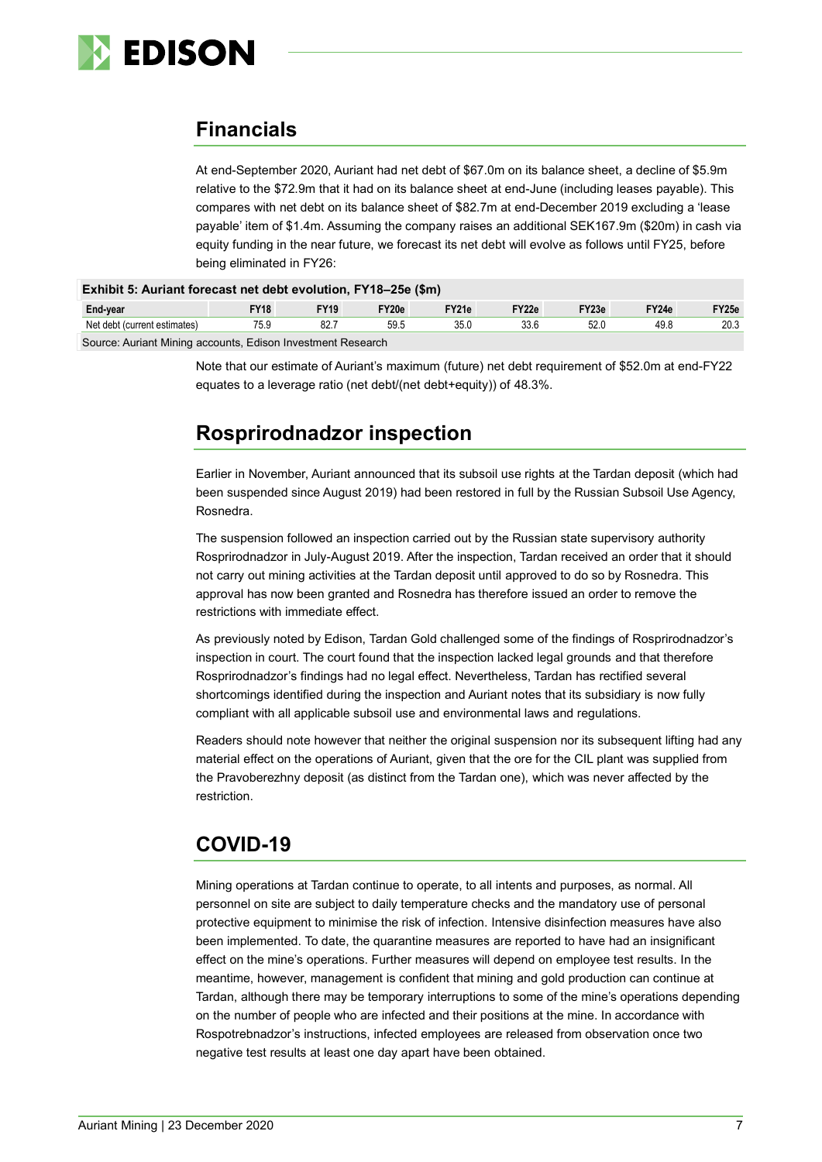

# **Financials**

At end-September 2020, Auriant had net debt of \$67.0m on its balance sheet, a decline of \$5.9m relative to the \$72.9m that it had on its balance sheet at end-June (including leases payable). This compares with net debt on its balance sheet of \$82.7m at end-December 2019 excluding a 'lease payable' item of \$1.4m. Assuming the company raises an additional SEK167.9m (\$20m) in cash via equity funding in the near future, we forecast its net debt will evolve as follows until FY25, before being eliminated in FY26:

| Exhibit 5: Auriant forecast net debt evolution, FY18-25e (\$m) |             |             |       |       |       |       |       |       |  |  |
|----------------------------------------------------------------|-------------|-------------|-------|-------|-------|-------|-------|-------|--|--|
| End-year                                                       | <b>FY18</b> | <b>FY19</b> | FY20e | FY21e | FY22e | FY23e | FY24e | FY25e |  |  |
| Net debt (current estimates)                                   | 75.9        | 82.7        | 59.5  | 35.0  | 33.6  | 52.0  | 49.8  | 20.3  |  |  |

Source: Auriant Mining accounts, Edison Investment Research

Note that our estimate of Auriant's maximum (future) net debt requirement of \$52.0m at end-FY22 equates to a leverage ratio (net debt/(net debt+equity)) of 48.3%.

# **Rosprirodnadzor inspection**

Earlier in November, Auriant announced that its subsoil use rights at the Tardan deposit (which had been suspended since August 2019) had been restored in full by the Russian Subsoil Use Agency, Rosnedra.

The suspension followed an inspection carried out by the Russian state supervisory authority Rosprirodnadzor in July-August 2019. After the inspection, Tardan received an order that it should not carry out mining activities at the Tardan deposit until approved to do so by Rosnedra. This approval has now been granted and Rosnedra has therefore issued an order to remove the restrictions with immediate effect.

As previously noted by Edison, Tardan Gold challenged some of the findings of Rosprirodnadzor's inspection in court. The court found that the inspection lacked legal grounds and that therefore Rosprirodnadzor's findings had no legal effect. Nevertheless, Tardan has rectified several shortcomings identified during the inspection and Auriant notes that its subsidiary is now fully compliant with all applicable subsoil use and environmental laws and regulations.

Readers should note however that neither the original suspension nor its subsequent lifting had any material effect on the operations of Auriant, given that the ore for the CIL plant was supplied from the Pravoberezhny deposit (as distinct from the Tardan one), which was never affected by the restriction.

# **COVID-19**

Mining operations at Tardan continue to operate, to all intents and purposes, as normal. All personnel on site are subject to daily temperature checks and the mandatory use of personal protective equipment to minimise the risk of infection. Intensive disinfection measures have also been implemented. To date, the quarantine measures are reported to have had an insignificant effect on the mine's operations. Further measures will depend on employee test results. In the meantime, however, management is confident that mining and gold production can continue at Tardan, although there may be temporary interruptions to some of the mine's operations depending on the number of people who are infected and their positions at the mine. In accordance with Rospotrebnadzor's instructions, infected employees are released from observation once two negative test results at least one day apart have been obtained.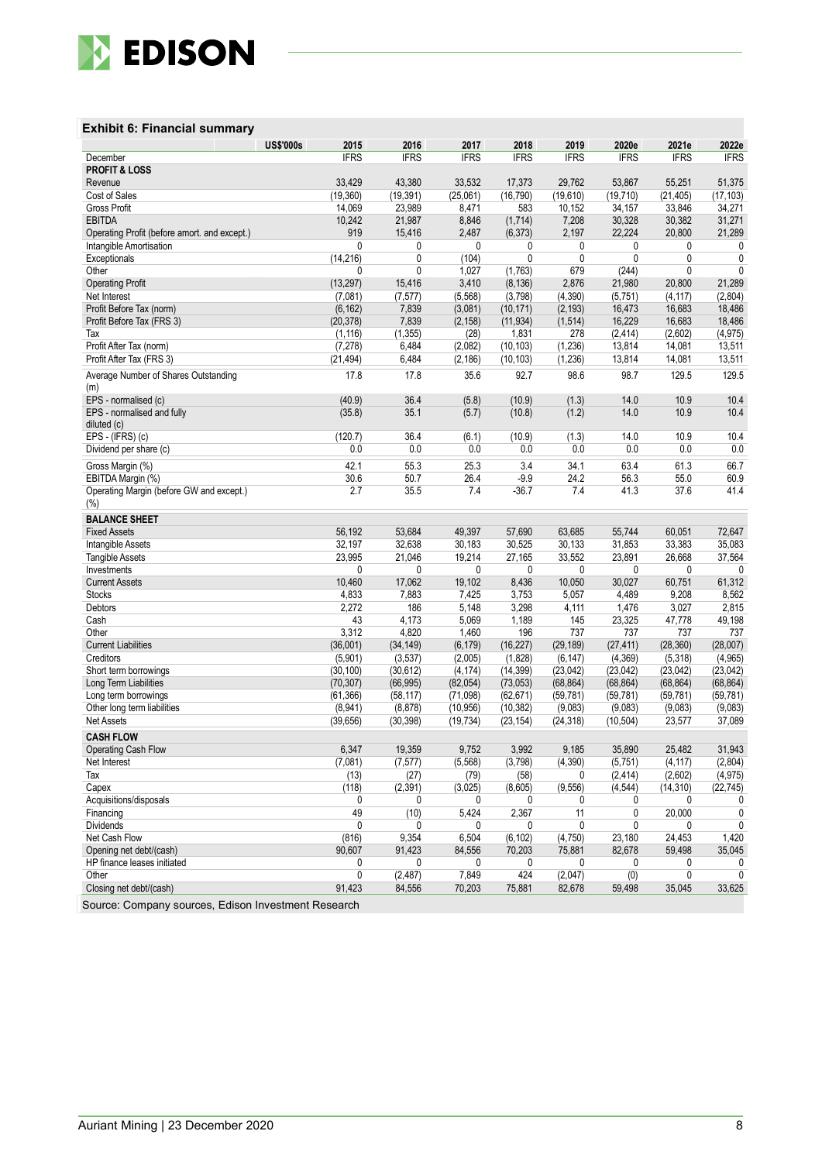

#### **Exhibit 6: Financial summary**

|                                                 | <b>US\$'000s</b> | 2015             | 2016             | 2017         | 2018            | 2019              | 2020e             | 2021e               | 2022e             |
|-------------------------------------------------|------------------|------------------|------------------|--------------|-----------------|-------------------|-------------------|---------------------|-------------------|
| December                                        |                  | <b>IFRS</b>      | <b>IFRS</b>      | <b>IFRS</b>  | <b>IFRS</b>     | <b>IFRS</b>       | <b>IFRS</b>       | <b>IFRS</b>         | <b>IFRS</b>       |
| <b>PROFIT &amp; LOSS</b>                        |                  |                  |                  |              |                 |                   |                   |                     |                   |
| Revenue                                         |                  | 33,429           | 43,380           | 33,532       | 17,373          | 29,762            | 53,867            | 55,251              | 51,375            |
| Cost of Sales                                   |                  | (19, 360)        | (19, 391)        | (25,061)     | (16, 790)       | (19,610)          | (19, 710)         | (21, 405)           | (17, 103)         |
| <b>Gross Profit</b>                             |                  | 14,069           | 23,989           | 8,471        | 583             | 10,152            | 34,157            | 33,846              | 34,271            |
| <b>EBITDA</b>                                   |                  | 10,242           | 21,987           | 8,846        | (1,714)         | 7,208             | 30,328            | 30,382              | 31,271            |
| Operating Profit (before amort. and except.)    |                  | 919              | 15,416           | 2,487        | (6, 373)        | 2,197             | 22,224            | 20,800              | 21,289            |
| Intangible Amortisation                         |                  | 0                | 0                | 0            | 0               | 0                 | 0                 | 0                   | 0                 |
| Exceptionals                                    |                  | (14, 216)        | 0                | (104)        | 0               | 0                 | 0                 | 0                   | 0                 |
| Other                                           |                  | 0                | 0                | 1,027        | (1,763)         | 679               | (244)             | 0                   | $\mathbf{0}$      |
| <b>Operating Profit</b>                         |                  | (13, 297)        | 15,416           | 3,410        | (8, 136)        | 2,876             | 21,980            | 20,800              | 21,289            |
| Net Interest                                    |                  | (7,081)          | (7, 577)         | (5, 568)     | (3,798)         | (4, 390)          | (5,751)           | (4, 117)            | (2,804)           |
| Profit Before Tax (norm)                        |                  | (6, 162)         | 7,839            | (3,081)      | (10, 171)       | (2, 193)          | 16,473            | 16,683              | 18,486            |
| Profit Before Tax (FRS 3)                       |                  | (20, 378)        | 7,839            | (2, 158)     | (11, 934)       | (1, 514)          | 16,229            | 16,683              | 18,486            |
| Tax                                             |                  | (1, 116)         | (1, 355)         | (28)         | 1,831           | 278               | (2, 414)          | (2,602)             | (4, 975)          |
| Profit After Tax (norm)                         |                  | (7, 278)         | 6,484            | (2,082)      | (10, 103)       | (1, 236)          | 13,814            | 14,081              | 13,511            |
| Profit After Tax (FRS 3)                        |                  | (21, 494)        | 6,484            | (2, 186)     | (10, 103)       | (1, 236)          | 13,814            | 14,081              | 13,511            |
| Average Number of Shares Outstanding<br>(m)     |                  | 17.8             | 17.8             | 35.6         | 92.7            | 98.6              | 98.7              | 129.5               | 129.5             |
| EPS - normalised (c)                            |                  | (40.9)           | 36.4             | (5.8)        | (10.9)          | (1.3)             | 14.0              | 10.9                | 10.4              |
| EPS - normalised and fully                      |                  | (35.8)           | 35.1             | (5.7)        | (10.8)          | (1.2)             | 14.0              | 10.9                | 10.4              |
| diluted (c)                                     |                  |                  |                  |              |                 |                   |                   |                     |                   |
| EPS - (IFRS) (c)                                |                  | (120.7)          | 36.4             | (6.1)        | (10.9)          | (1.3)             | 14.0              | 10.9                | 10.4              |
| Dividend per share (c)                          |                  | 0.0              | 0.0              | 0.0          | 0.0             | 0.0               | 0.0               | 0.0                 | 0.0               |
| Gross Margin (%)                                |                  | 42.1             | 55.3             | 25.3         | 3.4             | 34.1              | 63.4              | 61.3                | 66.7              |
| EBITDA Margin (%)                               |                  | 30.6             | 50.7             | 26.4         | $-9.9$          | 24.2              | 56.3              | 55.0                | 60.9              |
| Operating Margin (before GW and except.)<br>(%) |                  | 2.7              | 35.5             | 7.4          | $-36.7$         | 7.4               | 41.3              | 37.6                | 41.4              |
| <b>BALANCE SHEET</b>                            |                  |                  |                  |              |                 |                   |                   |                     |                   |
|                                                 |                  | 56,192           | 53,684           | 49,397       | 57,690          | 63,685            | 55,744            | 60,051              | 72,647            |
| <b>Fixed Assets</b>                             |                  | 32,197           | 32,638           | 30,183       | 30,525          | 30,133            | 31,853            | 33,383              | 35,083            |
| Intangible Assets                               |                  | 23,995           | 21,046           | 19,214       |                 | 33,552            | 23,891            | 26,668              | 37,564            |
| <b>Tangible Assets</b><br>Investments           |                  | 0                | 0                | 0            | 27,165<br>0     | 0                 | 0                 | 0                   | $\mathbf{0}$      |
| <b>Current Assets</b>                           |                  | 10,460           | 17,062           | 19,102       | 8,436           | 10,050            | 30,027            | 60,751              | 61,312            |
| <b>Stocks</b>                                   |                  | 4,833            | 7,883            | 7,425        | 3,753           | 5,057             | 4,489             | 9,208               | 8,562             |
| Debtors                                         |                  | 2,272            | 186              | 5,148        | 3,298           | 4,111             | 1,476             | 3,027               | 2,815             |
| Cash                                            |                  | 43               | 4,173            | 5,069        | 1,189           | 145               | 23,325            | 47,778              | 49,198            |
| Other                                           |                  | 3,312            | 4,820            | 1,460        | 196             | 737               | 737               | 737                 | 737               |
| <b>Current Liabilities</b>                      |                  | (36,001)         | (34, 149)        | (6, 179)     | (16, 227)       | (29, 189)         | (27, 411)         | (28, 360)           | (28,007)          |
| Creditors                                       |                  | (5,901)          | (3, 537)         | (2,005)      | (1,828)         | (6, 147)          | (4, 369)          | (5, 318)            | (4,965)           |
| Short term borrowings                           |                  | (30, 100)        | (30, 612)        | (4, 174)     | (14, 399)       | (23, 042)         | (23, 042)         | (23, 042)           | (23,042)          |
| Long Term Liabilities                           |                  | (70, 307)        | (66, 995)        | (82,054)     | (73,053)        | (68, 864)         | (68, 864)         | (68, 864)           | (68, 864)         |
| Long term borrowings                            |                  | (61, 366)        | (58, 117)        | (71,098)     | (62, 671)       | (59, 781)         | (59, 781)         | (59, 781)           | (59, 781)         |
| Other long term liabilities                     |                  | (8,941)          | (8, 878)         | (10, 956)    | (10, 382)       | (9,083)           | (9,083)           | (9,083)             | (9,083)           |
| <b>Net Assets</b>                               |                  | (39, 656)        | (30, 398)        | (19, 734)    | (23, 154)       | (24, 318)         | (10, 504)         | 23,577              | 37,089            |
| <b>CASH FLOW</b>                                |                  |                  |                  |              |                 |                   |                   |                     |                   |
|                                                 |                  |                  |                  |              |                 |                   |                   | 25.482              |                   |
| <b>Operating Cash Flow</b>                      |                  | 6,347<br>(7,081) | 19,359           | 9,752        | 3,992           | 9,185<br>(4, 390) | 35,890<br>(5,751) |                     | 31,943<br>(2,804) |
| Net Interest<br>Tax                             |                  | (13)             | (7, 577)<br>(27) | (5, 568)     | (3,798)<br>(58) | 0                 | (2, 414)          | (4, 117)<br>(2,602) | (4, 975)          |
| Capex                                           |                  |                  |                  | (79)         | (8,605)         |                   | (4, 544)          |                     |                   |
| Acquisitions/disposals                          |                  | (118)<br>0       | (2, 391)<br>0    | (3,025)<br>0 | 0               | (9, 556)<br>0     | 0                 | (14, 310)<br>0      | (22, 745)         |
| Financing                                       |                  | 49               | (10)             | 5,424        | 2,367           | 11                | 0                 | 20,000              | 0<br>0            |
| <b>Dividends</b>                                |                  | 0                | 0                | 0            | 0               | 0                 | 0                 | 0                   | 0                 |
| Net Cash Flow                                   |                  | (816)            | 9,354            | 6,504        | (6, 102)        | (4,750)           | 23,180            | 24,453              | 1,420             |
| Opening net debt/(cash)                         |                  | 90,607           | 91,423           | 84,556       | 70,203          | 75,881            | 82,678            | 59,498              | 35,045            |
| HP finance leases initiated                     |                  | 0                | 0                | 0            | 0               | 0                 | 0                 | 0                   | 0                 |
| Other                                           |                  | 0                | (2, 487)         | 7,849        | 424             | (2,047)           | (0)               | 0                   | 0                 |
| Closing net debt/(cash)                         |                  | 91,423           | 84,556           | 70,203       | 75,881          | 82,678            | 59,498            | 35,045              | 33,625            |
|                                                 |                  |                  |                  |              |                 |                   |                   |                     |                   |

Source: Company sources, Edison Investment Research